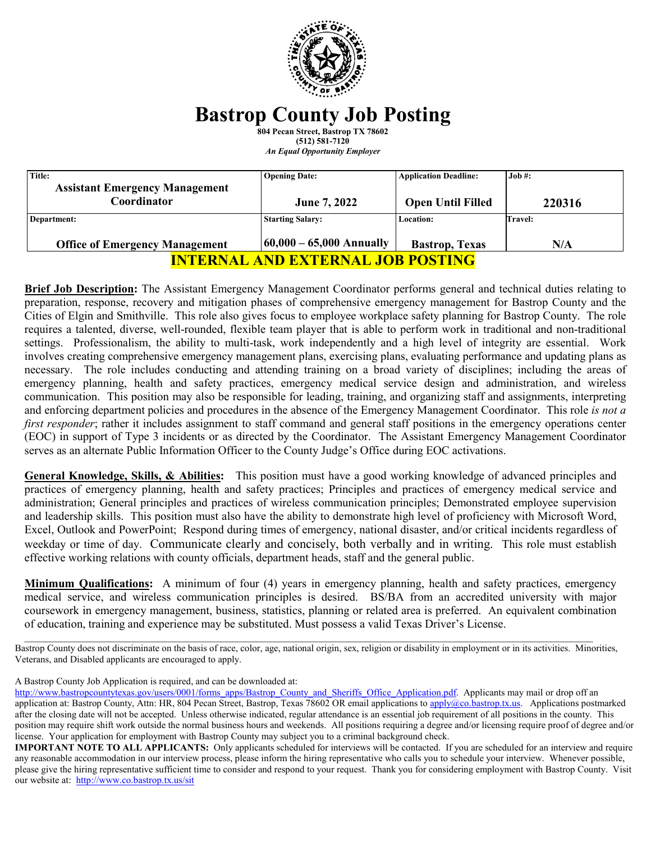

# **Bastrop County Job Posting**

**804 Pecan Street, Bastrop TX 78602 (512) 581-7120** *An Equal Opportunity Employer*

| Title:<br><b>Assistant Emergency Management</b> | <b>Opening Date:</b>        | <b>Application Deadline:</b> | $Job \#$ :     |
|-------------------------------------------------|-----------------------------|------------------------------|----------------|
| Coordinator                                     | June 7, 2022                | <b>Open Until Filled</b>     | 220316         |
| Department:                                     | <b>Starting Salary:</b>     | <b>Location:</b>             | <b>Travel:</b> |
| <b>Office of Emergency Management</b>           | $ 60,000 - 65,000$ Annually | <b>Bastrop</b> , Texas       | N/A            |
| <u>INTERNAL AND EXTERNAL JOB POSTING</u>        |                             |                              |                |

**Brief Job Description:** The Assistant Emergency Management Coordinator performs general and technical duties relating to preparation, response, recovery and mitigation phases of comprehensive emergency management for Bastrop County and the Cities of Elgin and Smithville. This role also gives focus to employee workplace safety planning for Bastrop County. The role requires a talented, diverse, well-rounded, flexible team player that is able to perform work in traditional and non-traditional settings. Professionalism, the ability to multi-task, work independently and a high level of integrity are essential. Work involves creating comprehensive emergency management plans, exercising plans, evaluating performance and updating plans as necessary. The role includes conducting and attending training on a broad variety of disciplines; including the areas of emergency planning, health and safety practices, emergency medical service design and administration, and wireless communication. This position may also be responsible for leading, training, and organizing staff and assignments, interpreting and enforcing department policies and procedures in the absence of the Emergency Management Coordinator. This role *is not a first responder*; rather it includes assignment to staff command and general staff positions in the emergency operations center (EOC) in support of Type 3 incidents or as directed by the Coordinator. The Assistant Emergency Management Coordinator serves as an alternate Public Information Officer to the County Judge's Office during EOC activations.

**General Knowledge, Skills, & Abilities:** This position must have a good working knowledge of advanced principles and practices of emergency planning, health and safety practices; Principles and practices of emergency medical service and administration; General principles and practices of wireless communication principles; Demonstrated employee supervision and leadership skills. This position must also have the ability to demonstrate high level of proficiency with Microsoft Word, Excel, Outlook and PowerPoint; Respond during times of emergency, national disaster, and/or critical incidents regardless of weekday or time of day. Communicate clearly and concisely, both verbally and in writing. This role must establish effective working relations with county officials, department heads, staff and the general public.

**Minimum Qualifications:** A minimum of four (4) years in emergency planning, health and safety practices, emergency medical service, and wireless communication principles is desired. BS/BA from an accredited university with major coursework in emergency management, business, statistics, planning or related area is preferred. An equivalent combination of education, training and experience may be substituted. Must possess a valid Texas Driver's License.

Bastrop County does not discriminate on the basis of race, color, age, national origin, sex, religion or disability in employment or in its activities. Minorities, Veterans, and Disabled applicants are encouraged to apply.

\_\_\_\_\_\_\_\_\_\_\_\_\_\_\_\_\_\_\_\_\_\_\_\_\_\_\_\_\_\_\_\_\_\_\_\_\_\_\_\_\_\_\_\_\_\_\_\_\_\_\_\_\_\_\_\_\_\_\_\_\_\_\_\_\_\_\_\_\_\_\_\_\_\_\_\_\_\_\_\_\_\_\_\_\_\_\_\_\_\_\_\_\_\_\_\_\_\_\_\_\_\_\_\_\_\_\_

A Bastrop County Job Application is required, and can be downloaded at:

[http://www.bastropcountytexas.gov/users/0001/forms\\_apps/Bastrop\\_County\\_and\\_Sheriffs\\_Office\\_Application.pdf.](http://www.bastropcountytexas.gov/users/0001/forms_apps/Bastrop_County_and_Sheriffs_Office_Application.pdf) Applicants may mail or drop off an application at: Bastrop County, Attn: HR, 804 Pecan Street, Bastrop, Texas 78602 OR email applications t[o apply@co.bastrop.tx.us.](mailto:apply@co.bastrop.tx.us) Applications postmarked after the closing date will not be accepted. Unless otherwise indicated, regular attendance is an essential job requirement of all positions in the county. This position may require shift work outside the normal business hours and weekends. All positions requiring a degree and/or licensing require proof of degree and/or license. Your application for employment with Bastrop County may subject you to a criminal background check.

**IMPORTANT NOTE TO ALL APPLICANTS:** Only applicants scheduled for interviews will be contacted. If you are scheduled for an interview and require any reasonable accommodation in our interview process, please inform the hiring representative who calls you to schedule your interview. Whenever possible, please give the hiring representative sufficient time to consider and respond to your request. Thank you for considering employment with Bastrop County. Visit our website at: http://www.co.bastrop.tx.us/sit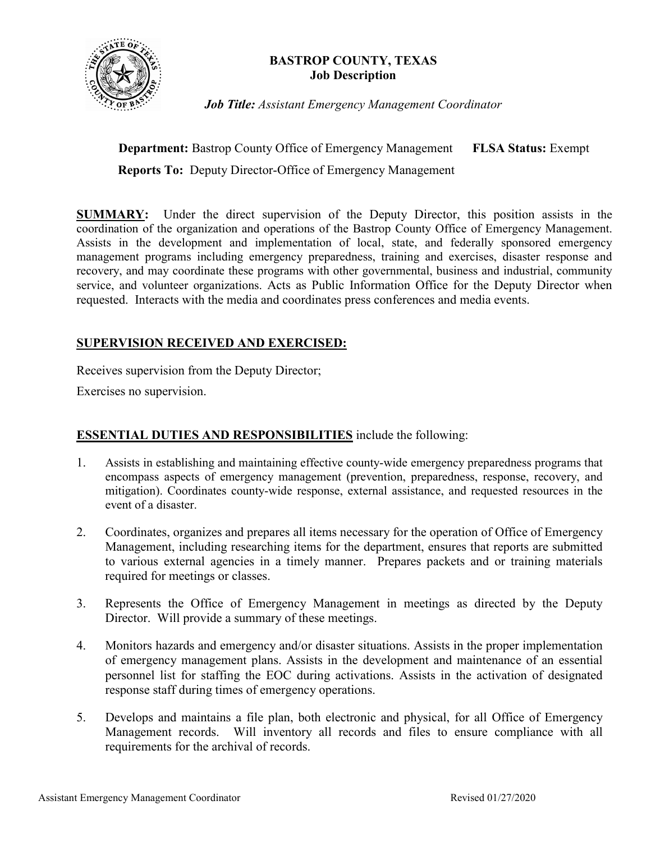

# **BASTROP COUNTY, TEXAS Job Description**

*Job Title: Assistant Emergency Management Coordinator* 

**Department:** Bastrop County Office of Emergency Management **FLSA Status:** Exempt

 **Reports To:** Deputy Director-Office of Emergency Management

**SUMMARY:** Under the direct supervision of the Deputy Director, this position assists in the coordination of the organization and operations of the Bastrop County Office of Emergency Management. Assists in the development and implementation of local, state, and federally sponsored emergency management programs including emergency preparedness, training and exercises, disaster response and recovery, and may coordinate these programs with other governmental, business and industrial, community service, and volunteer organizations. Acts as Public Information Office for the Deputy Director when requested. Interacts with the media and coordinates press conferences and media events.

# **SUPERVISION RECEIVED AND EXERCISED:**

Receives supervision from the Deputy Director;

Exercises no supervision.

# **ESSENTIAL DUTIES AND RESPONSIBILITIES** include the following:

- 1. Assists in establishing and maintaining effective county-wide emergency preparedness programs that encompass aspects of emergency management (prevention, preparedness, response, recovery, and mitigation). Coordinates county-wide response, external assistance, and requested resources in the event of a disaster.
- 2. Coordinates, organizes and prepares all items necessary for the operation of Office of Emergency Management, including researching items for the department, ensures that reports are submitted to various external agencies in a timely manner. Prepares packets and or training materials required for meetings or classes.
- 3. Represents the Office of Emergency Management in meetings as directed by the Deputy Director. Will provide a summary of these meetings.
- 4. Monitors hazards and emergency and/or disaster situations. Assists in the proper implementation of emergency management plans. Assists in the development and maintenance of an essential personnel list for staffing the EOC during activations. Assists in the activation of designated response staff during times of emergency operations.
- 5. Develops and maintains a file plan, both electronic and physical, for all Office of Emergency Management records. Will inventory all records and files to ensure compliance with all requirements for the archival of records.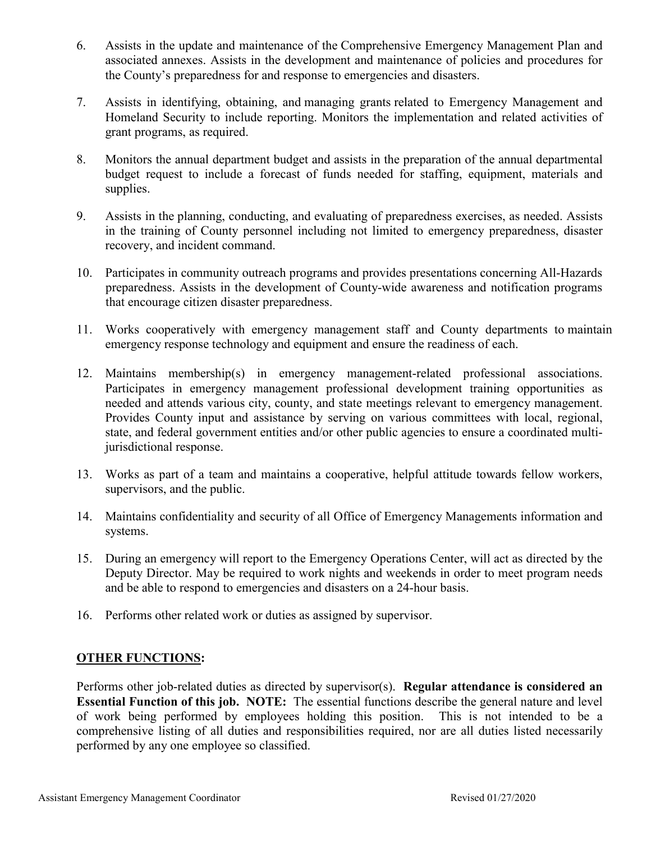- 6. Assists in the update and maintenance of the Comprehensive Emergency Management Plan and associated annexes. Assists in the development and maintenance of policies and procedures for the County's preparedness for and response to emergencies and disasters.
- 7. Assists in identifying, obtaining, and managing grants related to Emergency Management and Homeland Security to include reporting. Monitors the implementation and related activities of grant programs, as required.
- 8. Monitors the annual department budget and assists in the preparation of the annual departmental budget request to include a forecast of funds needed for staffing, equipment, materials and supplies.
- 9. Assists in the planning, conducting, and evaluating of preparedness exercises, as needed. Assists in the training of County personnel including not limited to emergency preparedness, disaster recovery, and incident command.
- 10. Participates in community outreach programs and provides presentations concerning All-Hazards preparedness. Assists in the development of County-wide awareness and notification programs that encourage citizen disaster preparedness.
- 11. Works cooperatively with emergency management staff and County departments to maintain emergency response technology and equipment and ensure the readiness of each.
- 12. Maintains membership(s) in emergency management-related professional associations. Participates in emergency management professional development training opportunities as needed and attends various city, county, and state meetings relevant to emergency management. Provides County input and assistance by serving on various committees with local, regional, state, and federal government entities and/or other public agencies to ensure a coordinated multijurisdictional response.
- 13. Works as part of a team and maintains a cooperative, helpful attitude towards fellow workers, supervisors, and the public.
- 14. Maintains confidentiality and security of all Office of Emergency Managements information and systems.
- 15. During an emergency will report to the Emergency Operations Center, will act as directed by the Deputy Director. May be required to work nights and weekends in order to meet program needs and be able to respond to emergencies and disasters on a 24-hour basis.
- 16. Performs other related work or duties as assigned by supervisor.

# **OTHER FUNCTIONS:**

Performs other job-related duties as directed by supervisor(s). **Regular attendance is considered an Essential Function of this job. NOTE:** The essential functions describe the general nature and level of work being performed by employees holding this position. This is not intended to be a comprehensive listing of all duties and responsibilities required, nor are all duties listed necessarily performed by any one employee so classified.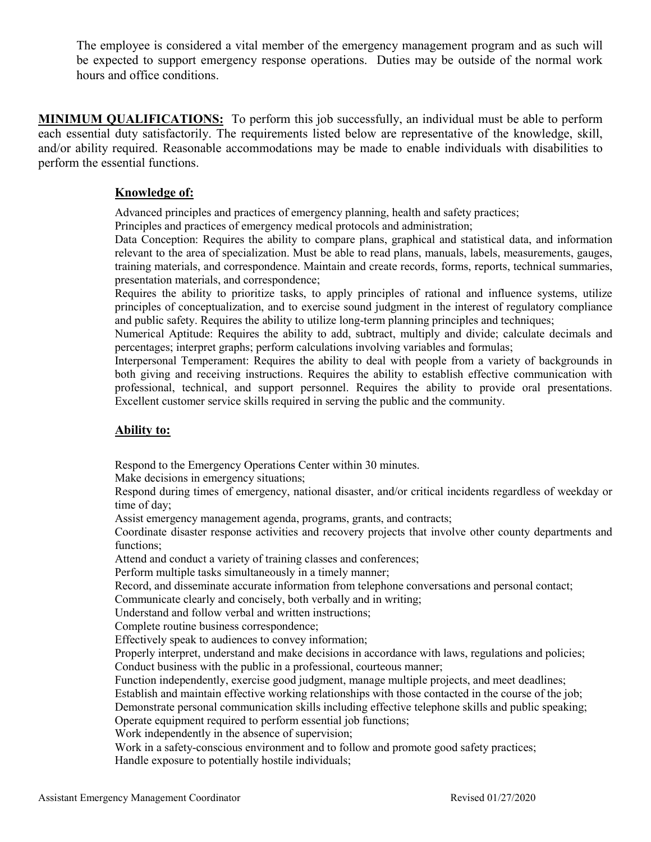The employee is considered a vital member of the emergency management program and as such will be expected to support emergency response operations. Duties may be outside of the normal work hours and office conditions.

**MINIMUM QUALIFICATIONS:** To perform this job successfully, an individual must be able to perform each essential duty satisfactorily. The requirements listed below are representative of the knowledge, skill, and/or ability required. Reasonable accommodations may be made to enable individuals with disabilities to perform the essential functions.

## **Knowledge of:**

Advanced principles and practices of emergency planning, health and safety practices;

Principles and practices of emergency medical protocols and administration;

Data Conception: Requires the ability to compare plans, graphical and statistical data, and information relevant to the area of specialization. Must be able to read plans, manuals, labels, measurements, gauges, training materials, and correspondence. Maintain and create records, forms, reports, technical summaries, presentation materials, and correspondence;

Requires the ability to prioritize tasks, to apply principles of rational and influence systems, utilize principles of conceptualization, and to exercise sound judgment in the interest of regulatory compliance and public safety. Requires the ability to utilize long-term planning principles and techniques;

Numerical Aptitude: Requires the ability to add, subtract, multiply and divide; calculate decimals and percentages; interpret graphs; perform calculations involving variables and formulas;

Interpersonal Temperament: Requires the ability to deal with people from a variety of backgrounds in both giving and receiving instructions. Requires the ability to establish effective communication with professional, technical, and support personnel. Requires the ability to provide oral presentations. Excellent customer service skills required in serving the public and the community.

## **Ability to:**

Respond to the Emergency Operations Center within 30 minutes.

Make decisions in emergency situations;

Respond during times of emergency, national disaster, and/or critical incidents regardless of weekday or time of day;

Assist emergency management agenda, programs, grants, and contracts;

Coordinate disaster response activities and recovery projects that involve other county departments and functions;

Attend and conduct a variety of training classes and conferences;

Perform multiple tasks simultaneously in a timely manner;

Record, and disseminate accurate information from telephone conversations and personal contact;

Communicate clearly and concisely, both verbally and in writing;

Understand and follow verbal and written instructions;

Complete routine business correspondence;

Effectively speak to audiences to convey information;

Properly interpret, understand and make decisions in accordance with laws, regulations and policies; Conduct business with the public in a professional, courteous manner;

Function independently, exercise good judgment, manage multiple projects, and meet deadlines;

Establish and maintain effective working relationships with those contacted in the course of the job;

Demonstrate personal communication skills including effective telephone skills and public speaking; Operate equipment required to perform essential job functions;

Work independently in the absence of supervision;

Work in a safety-conscious environment and to follow and promote good safety practices; Handle exposure to potentially hostile individuals;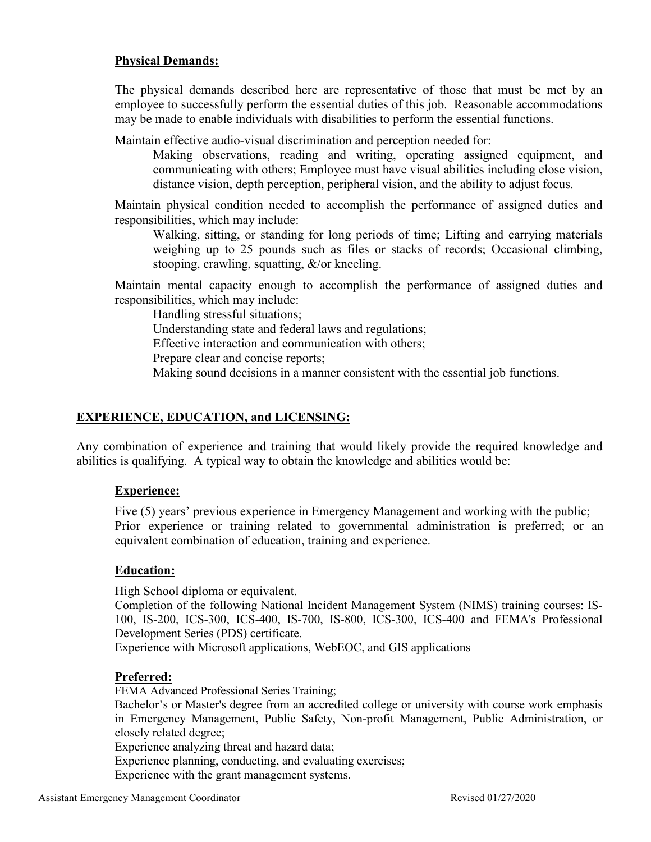## **Physical Demands:**

The physical demands described here are representative of those that must be met by an employee to successfully perform the essential duties of this job. Reasonable accommodations may be made to enable individuals with disabilities to perform the essential functions.

Maintain effective audio-visual discrimination and perception needed for:

Making observations, reading and writing, operating assigned equipment, and communicating with others; Employee must have visual abilities including close vision, distance vision, depth perception, peripheral vision, and the ability to adjust focus.

Maintain physical condition needed to accomplish the performance of assigned duties and responsibilities, which may include:

Walking, sitting, or standing for long periods of time; Lifting and carrying materials weighing up to 25 pounds such as files or stacks of records; Occasional climbing, stooping, crawling, squatting, &/or kneeling.

Maintain mental capacity enough to accomplish the performance of assigned duties and responsibilities, which may include:

Handling stressful situations;

Understanding state and federal laws and regulations;

Effective interaction and communication with others;

Prepare clear and concise reports;

Making sound decisions in a manner consistent with the essential job functions.

# **EXPERIENCE, EDUCATION, and LICENSING:**

Any combination of experience and training that would likely provide the required knowledge and abilities is qualifying. A typical way to obtain the knowledge and abilities would be:

# **Experience:**

Five (5) years' previous experience in Emergency Management and working with the public; Prior experience or training related to governmental administration is preferred; or an equivalent combination of education, training and experience.

## **Education:**

High School diploma or equivalent.

Completion of the following National Incident Management System (NIMS) training courses: IS-100, IS-200, ICS-300, ICS-400, IS-700, IS-800, ICS-300, ICS-400 and FEMA's Professional Development Series (PDS) certificate.

Experience with Microsoft applications, WebEOC, and GIS applications

## **Preferred:**

FEMA Advanced Professional Series Training;

Bachelor's or Master's degree from an accredited college or university with course work emphasis in Emergency Management, Public Safety, Non-profit Management, Public Administration, or closely related degree;

Experience analyzing threat and hazard data;

Experience planning, conducting, and evaluating exercises;

Experience with the grant management systems.